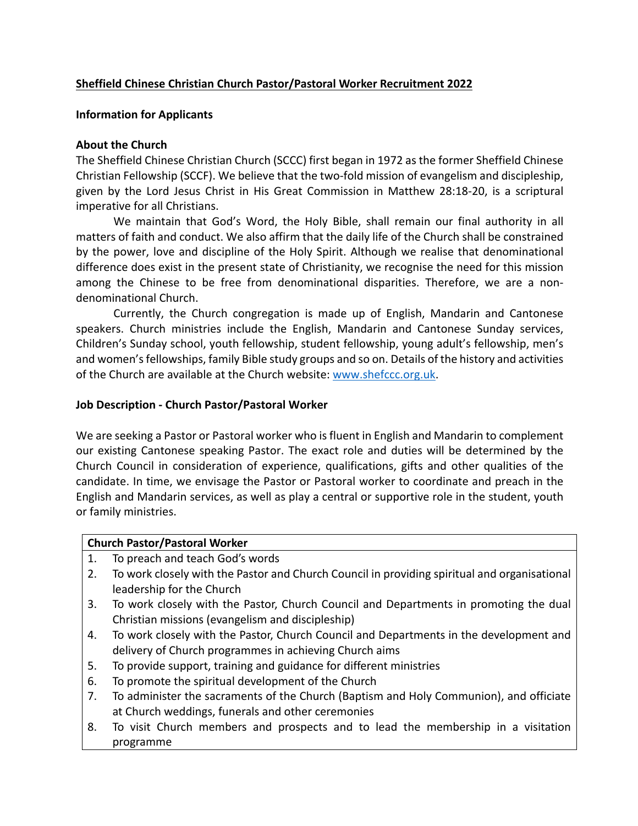## **Sheffield Chinese Christian Church Pastor/Pastoral Worker Recruitment 2022**

## **Information for Applicants**

### **About the Church**

The Sheffield Chinese Christian Church (SCCC) first began in 1972 as the former Sheffield Chinese Christian Fellowship (SCCF). We believe that the two-fold mission of evangelism and discipleship, given by the Lord Jesus Christ in His Great Commission in Matthew 28:18-20, is a scriptural imperative for all Christians.

We maintain that God's Word, the Holy Bible, shall remain our final authority in all matters of faith and conduct. We also affirm that the daily life of the Church shall be constrained by the power, love and discipline of the Holy Spirit. Although we realise that denominational difference does exist in the present state of Christianity, we recognise the need for this mission among the Chinese to be free from denominational disparities. Therefore, we are a nondenominational Church.

Currently, the Church congregation is made up of English, Mandarin and Cantonese speakers. Church ministries include the English, Mandarin and Cantonese Sunday services, Children's Sunday school, youth fellowship, student fellowship, young adult's fellowship, men's and women's fellowships, family Bible study groups and so on. Details of the history and activities of the Church are available at the Church website: www.shefccc.org.uk.

### **Job Description - Church Pastor/Pastoral Worker**

We are seeking a Pastor or Pastoral worker who is fluent in English and Mandarin to complement our existing Cantonese speaking Pastor. The exact role and duties will be determined by the Church Council in consideration of experience, qualifications, gifts and other qualities of the candidate. In time, we envisage the Pastor or Pastoral worker to coordinate and preach in the English and Mandarin services, as well as play a central or supportive role in the student, youth or family ministries.

#### **Church Pastor/Pastoral Worker**

- 1. To preach and teach God's words
- 2. To work closely with the Pastor and Church Council in providing spiritual and organisational leadership for the Church
- 3. To work closely with the Pastor, Church Council and Departments in promoting the dual Christian missions (evangelism and discipleship)
- 4. To work closely with the Pastor, Church Council and Departments in the development and delivery of Church programmes in achieving Church aims
- 5. To provide support, training and guidance for different ministries
- 6. To promote the spiritual development of the Church
- 7. To administer the sacraments of the Church (Baptism and Holy Communion), and officiate at Church weddings, funerals and other ceremonies
- 8. To visit Church members and prospects and to lead the membership in a visitation programme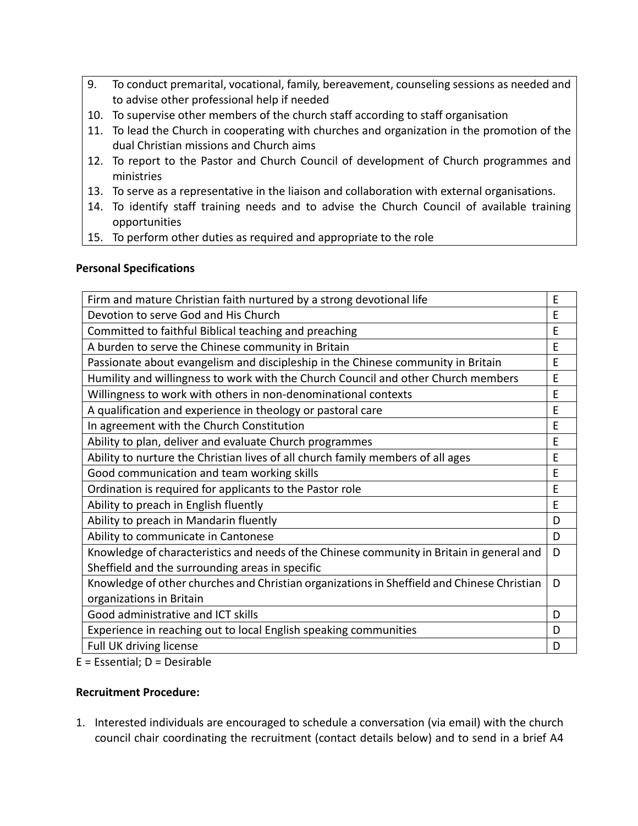- 9. To conduct premarital, vocational, family, bereavement, counseling sessions as needed and to advise other professional help if needed
- 10. To supervise other members of the church staff according to staff organisation
- 11. To lead the Church in cooperating with churches and organization in the promotion of the dual Christian missions and Church aims
- 12. To report to the Pastor and Church Council of development of Church programmes and ministries
- 13. To serve as a representative in the liaison and collaboration with external organisations.
- 14. To identify staff training needs and to advise the Church Council of available training opportunities
- 15. To perform other duties as required and appropriate to the role

## **Personal Specifications**

| Firm and mature Christian faith nurtured by a strong devotional life                       | F |
|--------------------------------------------------------------------------------------------|---|
| Devotion to serve God and His Church                                                       | E |
| Committed to faithful Biblical teaching and preaching                                      | E |
| A burden to serve the Chinese community in Britain                                         | E |
| Passionate about evangelism and discipleship in the Chinese community in Britain           | E |
| Humility and willingness to work with the Church Council and other Church members          | E |
| Willingness to work with others in non-denominational contexts                             | E |
| A qualification and experience in theology or pastoral care                                | E |
| In agreement with the Church Constitution                                                  | E |
| Ability to plan, deliver and evaluate Church programmes                                    | F |
| Ability to nurture the Christian lives of all church family members of all ages            | E |
| Good communication and team working skills                                                 | E |
| Ordination is required for applicants to the Pastor role                                   | E |
| Ability to preach in English fluently                                                      | E |
| Ability to preach in Mandarin fluently                                                     | D |
| Ability to communicate in Cantonese                                                        | D |
| Knowledge of characteristics and needs of the Chinese community in Britain in general and  | D |
| Sheffield and the surrounding areas in specific                                            |   |
| Knowledge of other churches and Christian organizations in Sheffield and Chinese Christian | D |
| organizations in Britain                                                                   |   |
| Good administrative and ICT skills                                                         | D |
| Experience in reaching out to local English speaking communities                           | D |
| Full UK driving license                                                                    | D |

E = Essential; D = Desirable

# **Recruitment Procedure:**

1. Interested individuals are encouraged to schedule a conversation (via email) with the church council chair coordinating the recruitment (contact details below) and to send in a brief A4